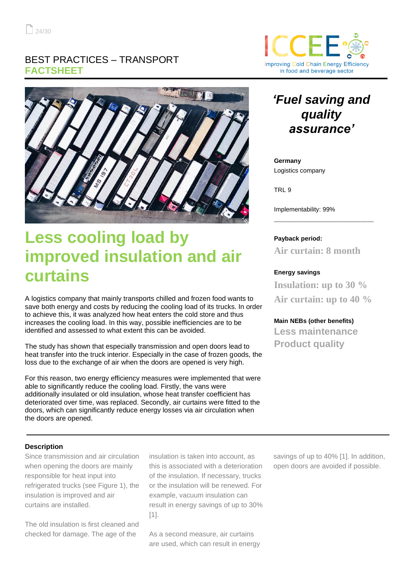### BEST PRACTICES – TRANSPORT **FACTSHEET**



# **Less cooling load by improved insulation and air curtains**

A logistics company that mainly transports chilled and frozen food wants to save both energy and costs by reducing the cooling load of its trucks. In order to achieve this, it was analyzed how heat enters the cold store and thus increases the cooling load. In this way, possible inefficiencies are to be identified and assessed to what extent this can be avoided.

The study has shown that especially transmission and open doors lead to heat transfer into the truck interior. Especially in the case of frozen goods, the loss due to the exchange of air when the doors are opened is very high.

For this reason, two energy efficiency measures were implemented that were able to significantly reduce the cooling load. Firstly, the vans were additionally insulated or old insulation, whose heat transfer coefficient has deteriorated over time, was replaced. Secondly, air curtains were fitted to the doors, which can significantly reduce energy losses via air circulation when the doors are opened.

# $\left($   $\right)$ **Improving Cold Chain Energy Efficiency** in food and beverage sector

# *'Fuel saving and quality assurance'*

#### **Germany** Logistics company

TRL 9

Implementability: 99%

#### **Payback period:**

**Air curtain: 8 month**

\_\_\_\_\_\_\_\_\_\_\_\_\_\_\_\_\_\_\_\_\_\_\_\_\_\_\_\_\_\_\_\_

#### **Energy savings**

**Insulation: up to 30 % Air curtain: up to 40 %**

#### **Main NEBs (other benefits)**

**Less maintenance Product quality** 

#### **Description**

Since transmission and air circulation when opening the doors are mainly responsible for heat input into refrigerated trucks (see Figure 1), the insulation is improved and air curtains are installed.

The old insulation is first cleaned and checked for damage. The age of the

insulation is taken into account, as this is associated with a deterioration of the insulation. If necessary, trucks or the insulation will be renewed. For example, vacuum insulation can result in energy savings of up to 30% [1].

As a second measure, air curtains are used, which can result in energy savings of up to 40% [1]. In addition, open doors are avoided if possible.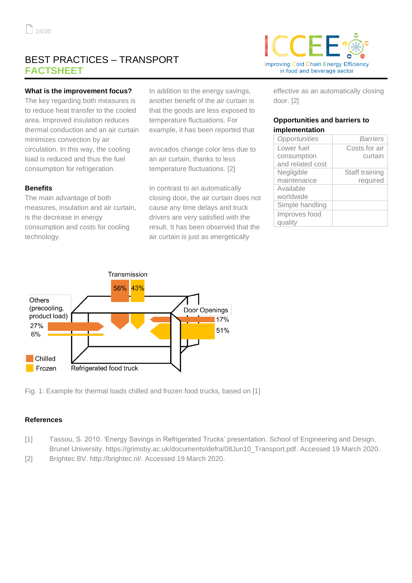## BEST PRACTICES – TRANSPORT **FACTSHEET**

#### **What is the improvement focus?**

The key regarding both measures is to reduce heat transfer to the cooled area. Improved insulation reduces thermal conduction and an air curtain minimizes convection by air circulation. In this way, the cooling load is reduced and thus the fuel consumption for refrigeration.

#### **Benefits**

The main advantage of both measures, insulation and air curtain, is the decrease in energy consumption and costs for cooling technology.

In addition to the energy savings, another benefit of the air curtain is that the goods are less exposed to temperature fluctuations. For example, it has been reported that

avocados change color less due to an air curtain, thanks to less temperature fluctuations. [2]

In contrast to an automatically closing door, the air curtain does not cause any time delays and truck drivers are very satisfied with the result. It has been observed that the air curtain is just as energetically



effective as an automatically closing door. [2]

#### **Opportunities and barriers to implementation**

| Opportunities    | Barriers       |
|------------------|----------------|
| Lower fuel       | Costs for air  |
| consumption      | curtain        |
| and related cost |                |
| Negligible       | Staff training |
| maintenance      | required       |
| Available        |                |
| worldwide        |                |
| Simple handling  |                |
| Improves food    |                |
| quality          |                |



Fig. 1: Example for thermal loads chilled and frozen food trucks, based on [1]

#### **References**

- [1] Tassou, S. 2010. 'Energy Savings in Refrigerated Trucks' presentation. School of Engineering and Design, Brunel University. https://grimsby.ac.uk/documents/defra/08Jun10\_Transport.pdf. Accessed 19 March 2020.
- [2] Brightec BV. http://brightec.nl/. Accessed 19 March 2020.